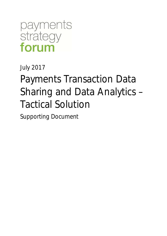payments<br>strategy forum

July 2017

# Payments Transaction Data Sharing and Data Analytics – Tactical Solution

Supporting Document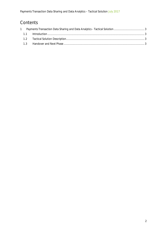### **Contents**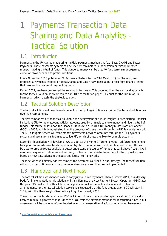## 1 Payments Transaction Data Sharing and Data Analytics - Tactical Solution

#### 1.1 Introduction

Payments in the UK can be made using multiple payments mechanisms (e.g. Bacs, CHAPS and Faster Payments). These payments systems can be used by criminals to launder stolen or misappropriated money, masking the trail of funds. This laundered money can be used to fund terrorism or organised crime, or allow criminals to profit from fraud.

In our November 2016 publication 'A Payments Strategy for the 21st Century'<sup>1</sup> (our Strategy), we proposed a Payments Transaction Data Sharing and Data Analytics solution to help fight financial crime that involves the misuse of payments systems.

During 2017, we have progressed the solution in two ways. This paper outlines the aims and approach for the tactical solution. It accompanies our 2017 consultation paper 'Blueprint for the Future of UK Payments', which details the strategic solution.

#### 1.2 Tactical Solution Description

The tactical solution will provide early benefit in the fight against financial crime. The tactical solution has two main components.

The first component of the tactical solution is the deployment of a Mule Insights Service alerting Financial Institutions (FIs) to mule account activity (accounts used by criminals to move money and hide the trail of funds). This service builds upon the Financial Fraud Action UK (FFA UK) money mules Proof of Concept (POC) in 2016, which demonstrated how the proceeds of crime move through the UK Payments network. The Mule Insights Service will trace money movements between accounts through the UK payments systems and use analytical techniques to identify which of these are likely to be mule accounts.

Secondly, this solution will develop a POC to address the Home Office Joint Fraud Taskforce requirement to support more extensive funds repatriation by FIs to the victims of fraud and financial crime. This will be used to provide robust analysis to better understand the source of funds that banks have frozen. It will also provide greater confidence and accuracy for banks to repatriate these funds to the original victims based on new data science techniques and legislative frameworks.

These activities will directly address some of the detriments outlined in our Strategy. The tactical solution will run until such time as a more comprehensive strategic solution can be implemented.

#### 1.3 Handover and Next Phase

The tactical solution was handed over in early July to Faster Payments Scheme Limited (FPSL) as a delivery body for implementation; this solution will transition into the New Payment System Operator (NPSO) later this year. FPSL will work with solution participants to finalise the technical scope and contractual arrangements for the tactical solution service. It is expected that the funds repatriation POC will start in 2017, with the Mule Insights Service likely to go live by early 2018.

The output of the funds repatriation POC will inform future operations to repatriate stolen funds and is likely to require legislative change. Once the POC tests the different methods for repatriating funds, a full assessment will be made to inform the design and implementation of a funds repatriation framework.

<sup>1</sup> https://consultation.paymentsforum.uk/final-strategy